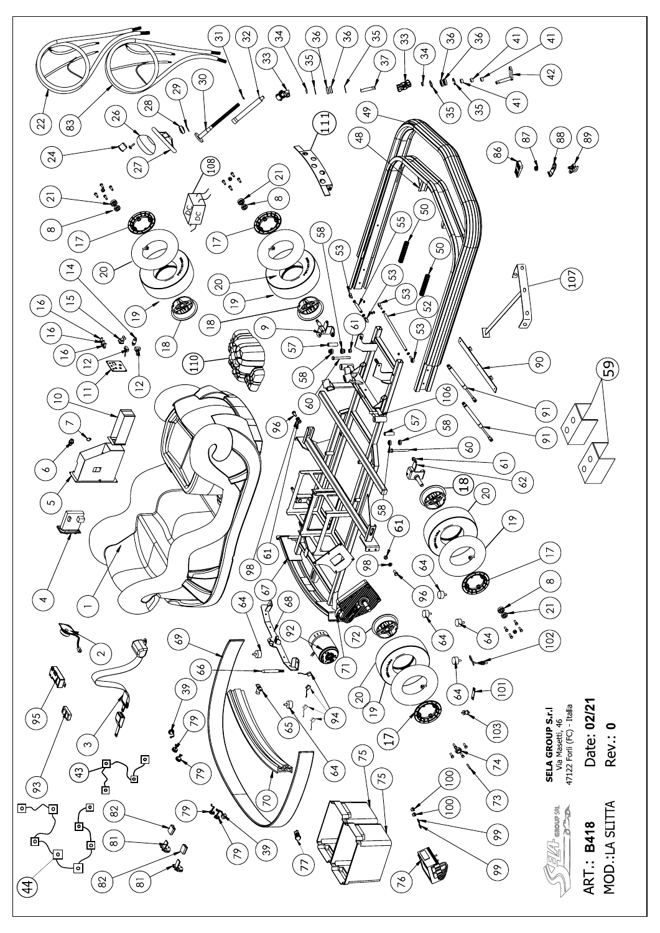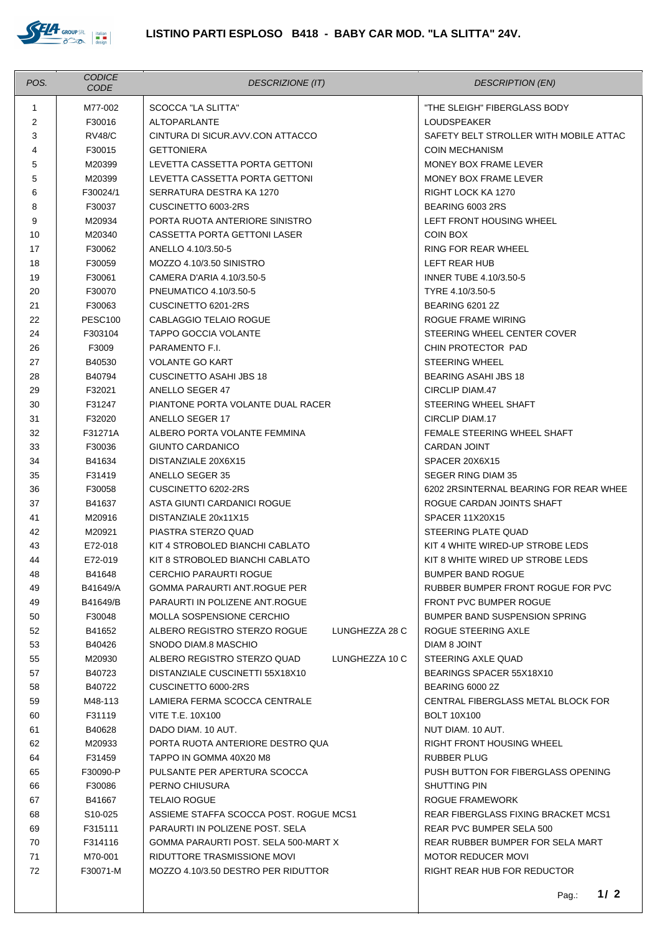

| POS.           | <b>CODICE</b><br>CODE           | <b>DESCRIZIONE (IT)</b>                                                   | <b>DESCRIPTION (EN)</b>                                                       |
|----------------|---------------------------------|---------------------------------------------------------------------------|-------------------------------------------------------------------------------|
| $\mathbf{1}$   | M77-002                         | SCOCCA "LA SLITTA"                                                        | "THE SLEIGH" FIBERGLASS BODY                                                  |
| $\overline{2}$ | F30016                          | <b>ALTOPARLANTE</b>                                                       | <b>LOUDSPEAKER</b>                                                            |
| 3              | <b>RV48/C</b>                   | CINTURA DI SICUR.AVV.CON ATTACCO                                          | SAFETY BELT STROLLER WITH MOBILE ATTAC                                        |
| 4              | F30015                          | <b>GETTONIERA</b>                                                         | <b>COIN MECHANISM</b>                                                         |
| 5              | M20399                          | LEVETTA CASSETTA PORTA GETTONI                                            | MONEY BOX FRAME LEVER                                                         |
| 5              | M20399                          | LEVETTA CASSETTA PORTA GETTONI                                            | MONEY BOX FRAME LEVER                                                         |
| 6              | F30024/1                        | SERRATURA DESTRA KA 1270                                                  | RIGHT LOCK KA 1270                                                            |
| 8              | F30037                          | CUSCINETTO 6003-2RS                                                       | BEARING 6003 2RS                                                              |
| 9              | M20934                          | PORTA RUOTA ANTERIORE SINISTRO                                            | LEFT FRONT HOUSING WHEEL                                                      |
| 10             | M20340                          | CASSETTA PORTA GETTONI LASER                                              | COIN BOX                                                                      |
| 17             | F30062                          | ANELLO 4.10/3.50-5                                                        | RING FOR REAR WHEEL                                                           |
| 18             | F30059                          | MOZZO 4.10/3.50 SINISTRO                                                  | LEFT REAR HUB                                                                 |
| 19             | F30061                          | CAMERA D'ARIA 4.10/3.50-5                                                 | <b>INNER TUBE 4.10/3.50-5</b>                                                 |
| 20             | F30070                          | PNEUMATICO 4.10/3.50-5                                                    | TYRE 4.10/3.50-5                                                              |
| 21             | F30063                          | CUSCINETTO 6201-2RS                                                       | <b>BEARING 6201 2Z</b>                                                        |
| 22             | <b>PESC100</b>                  | CABLAGGIO TELAIO ROGUE                                                    | ROGUE FRAME WIRING                                                            |
| 24             | F303104                         | <b>TAPPO GOCCIA VOLANTE</b>                                               | STEERING WHEEL CENTER COVER                                                   |
| 26             | F3009                           | PARAMENTO F.I.                                                            | CHIN PROTECTOR PAD                                                            |
| 27             | B40530                          | <b>VOLANTE GO KART</b>                                                    | <b>STEERING WHEEL</b>                                                         |
| 28             | B40794                          | <b>CUSCINETTO ASAHI JBS 18</b>                                            | <b>BEARING ASAHI JBS 18</b>                                                   |
| 29             | F32021                          | ANELLO SEGER 47                                                           | CIRCLIP DIAM.47                                                               |
| 30             | F31247                          | PIANTONE PORTA VOLANTE DUAL RACER                                         | STEERING WHEEL SHAFT                                                          |
| 31             | F32020                          | ANELLO SEGER 17                                                           | CIRCLIP DIAM.17                                                               |
| 32             | F31271A                         | ALBERO PORTA VOLANTE FEMMINA                                              | FEMALE STEERING WHEEL SHAFT                                                   |
| 33             | F30036                          | GIUNTO CARDANICO                                                          | <b>CARDAN JOINT</b>                                                           |
| 34             | B41634                          | DISTANZIALE 20X6X15                                                       | SPACER 20X6X15                                                                |
| 35             | F31419                          | ANELLO SEGER 35                                                           | SEGER RING DIAM 35                                                            |
| 36<br>37       | F30058<br>B41637                | CUSCINETTO 6202-2RS<br>ASTA GIUNTI CARDANICI ROGUE                        | 6202 2RSINTERNAL BEARING FOR REAR WHEE<br>ROGUE CARDAN JOINTS SHAFT           |
| 41             | M20916                          | DISTANZIALE 20x11X15                                                      | <b>SPACER 11X20X15</b>                                                        |
| 42             | M20921                          | PIASTRA STERZO QUAD                                                       | STEERING PLATE QUAD                                                           |
| 43             | E72-018                         | KIT 4 STROBOLED BIANCHI CABLATO                                           | KIT 4 WHITE WIRED-UP STROBE LEDS                                              |
| 44             | E72-019                         | KIT 8 STROBOLED BIANCHI CABLATO                                           | KIT 8 WHITE WIRED UP STROBE LEDS                                              |
| 48             | B41648                          | <b>CERCHIO PARAURTI ROGUE</b>                                             | <b>BUMPER BAND ROGUE</b>                                                      |
| 49             | B41649/A                        | <b>GOMMA PARAURTI ANT.ROGUE PER</b>                                       | RUBBER BUMPER FRONT ROGUE FOR PVC                                             |
| 49             | B41649/B                        | PARAURTI IN POLIZENE ANT.ROGUE                                            | <b>FRONT PVC BUMPER ROGUE</b>                                                 |
| 50             | F30048                          | MOLLA SOSPENSIONE CERCHIO                                                 | <b>BUMPER BAND SUSPENSION SPRING</b>                                          |
| 52             | B41652                          | ALBERO REGISTRO STERZO ROGUE<br>LUNGHEZZA 28 C                            | ROGUE STEERING AXLE                                                           |
| 53             | B40426                          | SNODO DIAM.8 MASCHIO                                                      | DIAM 8 JOINT                                                                  |
| 55             | M20930                          | ALBERO REGISTRO STERZO QUAD<br>LUNGHEZZA 10 C                             | STEERING AXLE QUAD                                                            |
| 57             | B40723                          | DISTANZIALE CUSCINETTI 55X18X10                                           | BEARINGS SPACER 55X18X10                                                      |
| 58             | B40722                          | CUSCINETTO 6000-2RS                                                       | <b>BEARING 6000 2Z</b>                                                        |
| 59             | M48-113                         | LAMIERA FERMA SCOCCA CENTRALE                                             | CENTRAL FIBERGLASS METAL BLOCK FOR                                            |
| 60             | F31119                          | <b>VITE T.E. 10X100</b>                                                   | <b>BOLT 10X100</b>                                                            |
| 61             | B40628                          | DADO DIAM. 10 AUT.                                                        | NUT DIAM. 10 AUT.                                                             |
| 62             | M20933                          | PORTA RUOTA ANTERIORE DESTRO QUA                                          | <b>RIGHT FRONT HOUSING WHEEL</b>                                              |
| 64             | F31459                          | TAPPO IN GOMMA 40X20 M8                                                   | <b>RUBBER PLUG</b>                                                            |
| 65             | F30090-P                        | PULSANTE PER APERTURA SCOCCA                                              | PUSH BUTTON FOR FIBERGLASS OPENING                                            |
| 66             | F30086                          | PERNO CHIUSURA                                                            | SHUTTING PIN                                                                  |
| 67             | B41667                          | <b>TELAIO ROGUE</b>                                                       | ROGUE FRAMEWORK                                                               |
| 68<br>69       | S <sub>10</sub> -025<br>F315111 | ASSIEME STAFFA SCOCCA POST. ROGUE MCS1<br>PARAURTI IN POLIZENE POST. SELA | <b>REAR FIBERGLASS FIXING BRACKET MCS1</b><br><b>REAR PVC BUMPER SELA 500</b> |
| 70             | F314116                         | GOMMA PARAURTI POST. SELA 500-MART X                                      | REAR RUBBER BUMPER FOR SELA MART                                              |
| 71             | M70-001                         | RIDUTTORE TRASMISSIONE MOVI                                               | <b>MOTOR REDUCER MOVI</b>                                                     |
| 72             | F30071-M                        | MOZZO 4.10/3.50 DESTRO PER RIDUTTOR                                       | RIGHT REAR HUB FOR REDUCTOR                                                   |
|                |                                 |                                                                           |                                                                               |
|                |                                 |                                                                           | $1/2$<br>Pag.                                                                 |